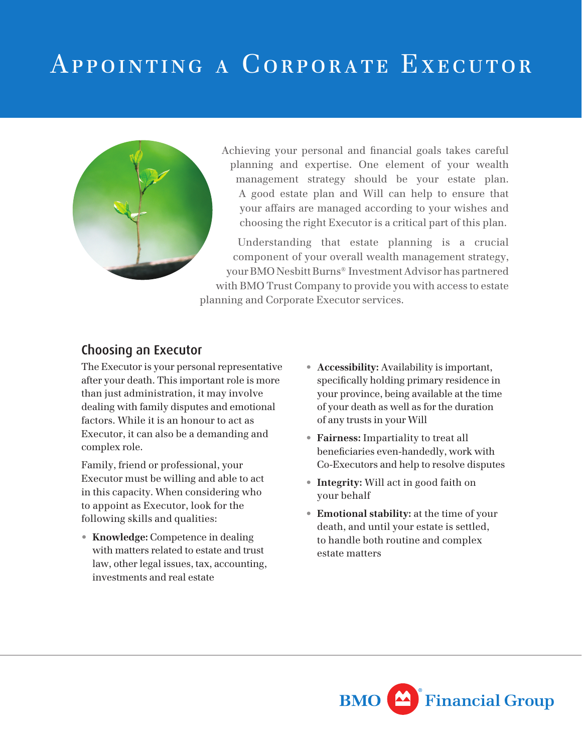## Appointing a Corporate Executor



Achieving your personal and financial goals takes careful planning and expertise. One element of your wealth management strategy should be your estate plan. A good estate plan and Will can help to ensure that your affairs are managed according to your wishes and choosing the right Executor is a critical part of this plan.

Understanding that estate planning is a crucial component of your overall wealth management strategy, your BMO Nesbitt Burns® Investment Advisor has partnered with BMO Trust Company to provide you with access to estate planning and Corporate Executor services.

## Choosing an Executor

The Executor is your personal representative after your death. This important role is more than just administration, it may involve dealing with family disputes and emotional factors. While it is an honour to act as Executor, it can also be a demanding and complex role.

Family, friend or professional, your Executor must be willing and able to act in this capacity. When considering who to appoint as Executor, look for the following skills and qualities:

• **Knowledge:** Competence in dealing with matters related to estate and trust law, other legal issues, tax, accounting, investments and real estate

- **Accessibility:** Availability is important, specifically holding primary residence in your province, being available at the time of your death as well as for the duration of any trusts in your Will
- **Fairness:** Impartiality to treat all beneficiaries even-handedly, work with Co-Executors and help to resolve disputes
- **Integrity:** Will act in good faith on your behalf
- **Emotional stability:** at the time of your death, and until your estate is settled, to handle both routine and complex estate matters